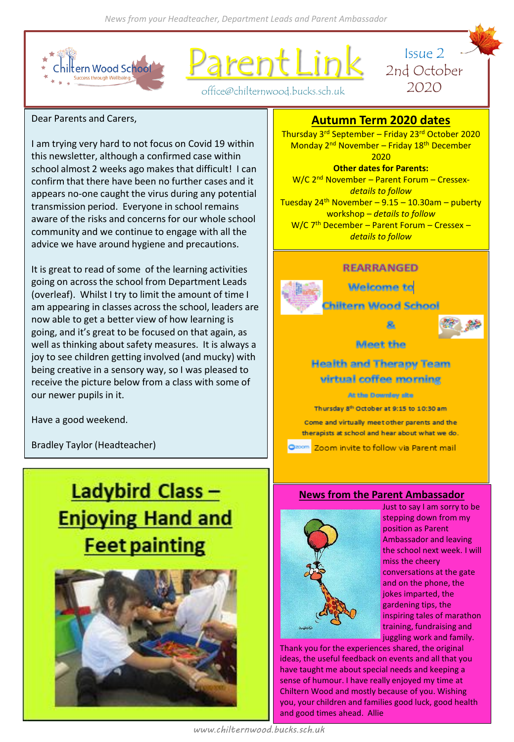

rent Lin



office@chilternwood.bucks.sch.uk

# Dear Parents and Carers,

I am trying very hard to not focus on Covid 19 within this newsletter, although a confirmed case within school almost 2 weeks ago makes that difficult! I can confirm that there have been no further cases and it appears no-one caught the virus during any potential transmission period. Everyone in school remains aware of the risks and concerns for our whole school community and we continue to engage with all the advice we have around hygiene and precautions.

It is great to read of some of the learning activities going on across the school from Department Leads (overleaf). Whilst I try to limit the amount of time I am appearing in classes across the school, leaders are now able to get a better view of how learning is going, and it's great to be focused on that again, as well as thinking about safety measures. It is always a joy to see children getting involved (and mucky) with being creative in a sensory way, so I was pleased to receive the picture below from a class with some of our newer pupils in it.

Have a good weekend.

Bradley Taylor (Headteacher)

# **Ladybird Class-Enjoying Hand and Feet painting**



# **Autumn Term 2020 dates**

Thursday 3rd September – Friday 23rd October 2020 Monday 2<sup>nd</sup> November – Friday 18<sup>th</sup> December 2020 **Other dates for Parents:**

W/C 2nd November – Parent Forum – Cressex*details to follow* Tuesday 24<sup>th</sup> November – 9.15 – 10.30am – puberty workshop – *details to follow* W/C 7<sup>th</sup> December - Parent Forum - Cressex *details to follow*

# **REARRANGED**



**Welcome to** 

hiltern Wood School



Meet the

**Health and Therapy Team** virtual coffee morning

At the Denmiey site

Thursday 8th October at 9:15 to 10:30 am

Come and virtually meet other parents and the therapists at school and hear about what we do.

m Zoom invite to follow via Parent mail

# **News from the Parent Ambassador**



Just to say I am sorry to be stepping down from my position as Parent Ambassador and leaving the school next week. I will miss the cheery conversations at the gate and on the phone, the jokes imparted, the gardening tips, the inspiring tales of marathon training, fundraising and juggling work and family.

Thank you for the experiences shared, the original ideas, the useful feedback on events and all that you have taught me about special needs and keeping a sense of humour. I have really enjoyed my time at Chiltern Wood and mostly because of you. Wishing you, your children and families good luck, good health and good times ahead. Allie